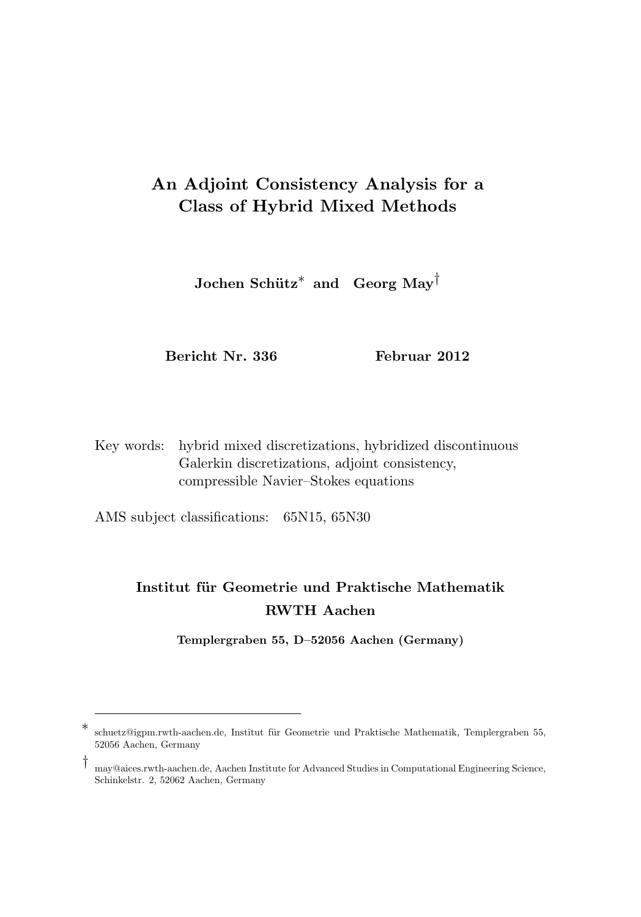# An Adjoint Consistency Analysis for a Class of Hybrid Mixed Methods

 ${\rm Jochen\ Schütz}^*$  and  ${\rm Georg\ May}^\dagger$ 

Bericht Nr. 336 Februar 2012

Key words: hybrid mixed discretizations, hybridized discontinuous Galerkin discretizations, adjoint consistency, compressible Navier–Stokes equations

AMS subject classifications: 65N15, 65N30

## Institut für Geometrie und Praktische Mathematik RWTH Aachen

Templergraben 55, D–52056 Aachen (Germany)

†

<sup>∗</sup> schuetz@igpm.rwth-aachen.de, Institut für Geometrie und Praktische Mathematik, Templergraben 55, 52056 Aachen, Germany

may@aices.rwth-aachen.de, Aachen Institute for Advanced Studies in Computational Engineering Science, Schinkelstr. 2, 52062 Aachen, Germany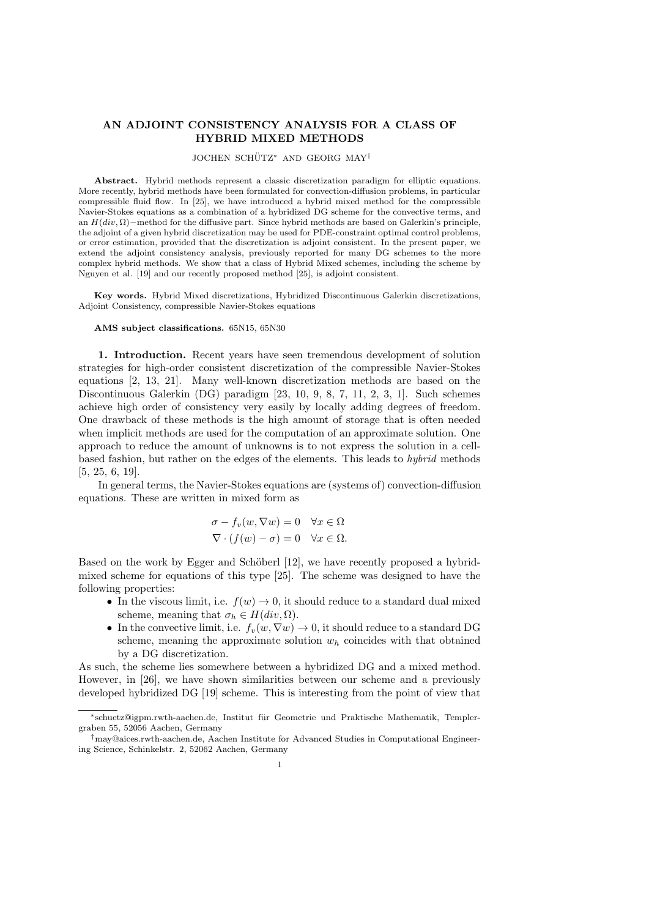### AN ADJOINT CONSISTENCY ANALYSIS FOR A CLASS OF HYBRID MIXED METHODS

#### JOCHEN SCHÜTZ<sup>\*</sup> AND GEORG MAY<sup>†</sup>

Abstract. Hybrid methods represent a classic discretization paradigm for elliptic equations. More recently, hybrid methods have been formulated for convection-diffusion problems, in particular compressible fluid flow. In [25], we have introduced a hybrid mixed method for the compressible Navier-Stokes equations as a combination of a hybridized DG scheme for the convective terms, and an  $H(div, \Omega)$ −method for the diffusive part. Since hybrid methods are based on Galerkin's principle, the adjoint of a given hybrid discretization may be used for PDE-constraint optimal control problems, or error estimation, provided that the discretization is adjoint consistent. In the present paper, we extend the adjoint consistency analysis, previously reported for many DG schemes to the more complex hybrid methods. We show that a class of Hybrid Mixed schemes, including the scheme by Nguyen et al. [19] and our recently proposed method [25], is adjoint consistent.

Key words. Hybrid Mixed discretizations, Hybridized Discontinuous Galerkin discretizations, Adjoint Consistency, compressible Navier-Stokes equations

#### AMS subject classifications. 65N15, 65N30

1. Introduction. Recent years have seen tremendous development of solution strategies for high-order consistent discretization of the compressible Navier-Stokes equations [2, 13, 21]. Many well-known discretization methods are based on the Discontinuous Galerkin (DG) paradigm [23, 10, 9, 8, 7, 11, 2, 3, 1]. Such schemes achieve high order of consistency very easily by locally adding degrees of freedom. One drawback of these methods is the high amount of storage that is often needed when implicit methods are used for the computation of an approximate solution. One approach to reduce the amount of unknowns is to not express the solution in a cellbased fashion, but rather on the edges of the elements. This leads to hybrid methods [5, 25, 6, 19].

In general terms, the Navier-Stokes equations are (systems of) convection-diffusion equations. These are written in mixed form as

$$
\sigma - f_v(w, \nabla w) = 0 \quad \forall x \in \Omega
$$
  

$$
\nabla \cdot (f(w) - \sigma) = 0 \quad \forall x \in \Omega.
$$

Based on the work by Egger and Schöberl [12], we have recently proposed a hybridmixed scheme for equations of this type [25]. The scheme was designed to have the following properties:

- In the viscous limit, i.e.  $f(w) \to 0$ , it should reduce to a standard dual mixed scheme, meaning that  $\sigma_h \in H(div, \Omega)$ .
- In the convective limit, i.e.  $f_v(w, \nabla w) \to 0$ , it should reduce to a standard DG scheme, meaning the approximate solution  $w<sub>h</sub>$  coincides with that obtained by a DG discretization.

As such, the scheme lies somewhere between a hybridized DG and a mixed method. However, in [26], we have shown similarities between our scheme and a previously developed hybridized DG [19] scheme. This is interesting from the point of view that

<sup>∗</sup>schuetz@igpm.rwth-aachen.de, Institut f¨ur Geometrie und Praktische Mathematik, Templergraben 55, 52056 Aachen, Germany

<sup>†</sup>may@aices.rwth-aachen.de, Aachen Institute for Advanced Studies in Computational Engineering Science, Schinkelstr. 2, 52062 Aachen, Germany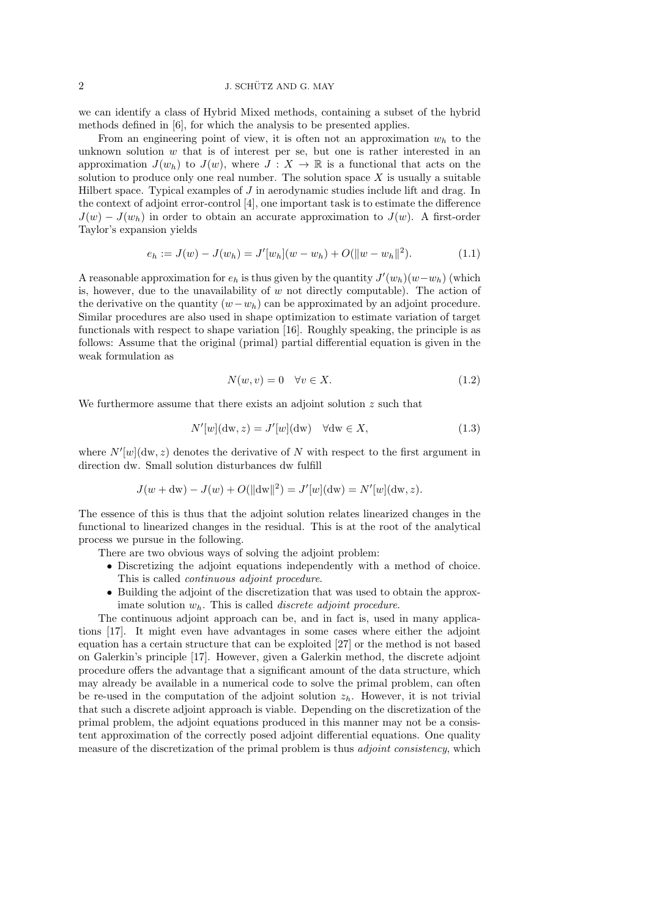we can identify a class of Hybrid Mixed methods, containing a subset of the hybrid methods defined in [6], for which the analysis to be presented applies.

From an engineering point of view, it is often not an approximation  $w<sub>h</sub>$  to the unknown solution  $w$  that is of interest per se, but one is rather interested in an approximation  $J(w_h)$  to  $J(w)$ , where  $J: X \to \mathbb{R}$  is a functional that acts on the solution to produce only one real number. The solution space  $X$  is usually a suitable Hilbert space. Typical examples of J in aerodynamic studies include lift and drag. In the context of adjoint error-control [4], one important task is to estimate the difference  $J(w) - J(w_h)$  in order to obtain an accurate approximation to  $J(w)$ . A first-order Taylor's expansion yields

$$
e_h := J(w) - J(w_h) = J'[w_h](w - w_h) + O(||w - w_h||^2). \tag{1.1}
$$

A reasonable approximation for  $e_h$  is thus given by the quantity  $J'(w_h)(w-w_h)$  (which is, however, due to the unavailability of  $w$  not directly computable). The action of the derivative on the quantity  $(w-w_h)$  can be approximated by an adjoint procedure. Similar procedures are also used in shape optimization to estimate variation of target functionals with respect to shape variation [16]. Roughly speaking, the principle is as follows: Assume that the original (primal) partial differential equation is given in the weak formulation as

$$
N(w, v) = 0 \quad \forall v \in X. \tag{1.2}
$$

We furthermore assume that there exists an adjoint solution  $z$  such that

$$
N'[w](dw, z) = J'[w](dw) \quad \forall dw \in X,
$$
\n(1.3)

where  $N'[w](dw, z)$  denotes the derivative of N with respect to the first argument in direction dw. Small solution disturbances dw fulfill

$$
J(w + dw) - J(w) + O(||dw||2) = J'[w](dw) = N'[w](dw, z).
$$

The essence of this is thus that the adjoint solution relates linearized changes in the functional to linearized changes in the residual. This is at the root of the analytical process we pursue in the following.

There are two obvious ways of solving the adjoint problem:

- Discretizing the adjoint equations independently with a method of choice. This is called continuous adjoint procedure.
- Building the adjoint of the discretization that was used to obtain the approximate solution  $w<sub>b</sub>$ . This is called *discrete adjoint procedure*.

The continuous adjoint approach can be, and in fact is, used in many applications [17]. It might even have advantages in some cases where either the adjoint equation has a certain structure that can be exploited [27] or the method is not based on Galerkin's principle [17]. However, given a Galerkin method, the discrete adjoint procedure offers the advantage that a significant amount of the data structure, which may already be available in a numerical code to solve the primal problem, can often be re-used in the computation of the adjoint solution  $z_h$ . However, it is not trivial that such a discrete adjoint approach is viable. Depending on the discretization of the primal problem, the adjoint equations produced in this manner may not be a consistent approximation of the correctly posed adjoint differential equations. One quality measure of the discretization of the primal problem is thus *adjoint consistency*, which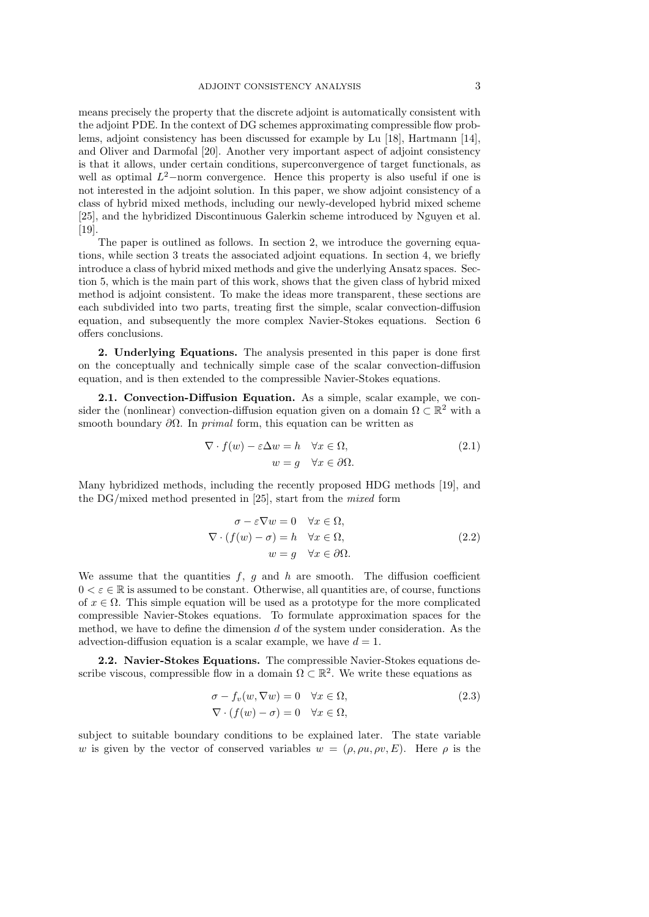means precisely the property that the discrete adjoint is automatically consistent with the adjoint PDE. In the context of DG schemes approximating compressible flow problems, adjoint consistency has been discussed for example by Lu [18], Hartmann [14], and Oliver and Darmofal [20]. Another very important aspect of adjoint consistency is that it allows, under certain conditions, superconvergence of target functionals, as well as optimal  $L^2$ -norm convergence. Hence this property is also useful if one is not interested in the adjoint solution. In this paper, we show adjoint consistency of a class of hybrid mixed methods, including our newly-developed hybrid mixed scheme [25], and the hybridized Discontinuous Galerkin scheme introduced by Nguyen et al. [19].

The paper is outlined as follows. In section 2, we introduce the governing equations, while section 3 treats the associated adjoint equations. In section 4, we briefly introduce a class of hybrid mixed methods and give the underlying Ansatz spaces. Section 5, which is the main part of this work, shows that the given class of hybrid mixed method is adjoint consistent. To make the ideas more transparent, these sections are each subdivided into two parts, treating first the simple, scalar convection-diffusion equation, and subsequently the more complex Navier-Stokes equations. Section 6 offers conclusions.

2. Underlying Equations. The analysis presented in this paper is done first on the conceptually and technically simple case of the scalar convection-diffusion equation, and is then extended to the compressible Navier-Stokes equations.

2.1. Convection-Diffusion Equation. As a simple, scalar example, we consider the (nonlinear) convection-diffusion equation given on a domain  $\Omega \subset \mathbb{R}^2$  with a smooth boundary  $\partial\Omega$ . In primal form, this equation can be written as

$$
\nabla \cdot f(w) - \varepsilon \Delta w = h \quad \forall x \in \Omega,
$$
  
\n
$$
w = g \quad \forall x \in \partial \Omega.
$$
 (2.1)

Many hybridized methods, including the recently proposed HDG methods [19], and the DG/mixed method presented in [25], start from the mixed form

$$
\sigma - \varepsilon \nabla w = 0 \quad \forall x \in \Omega, \n\nabla \cdot (f(w) - \sigma) = h \quad \forall x \in \Omega, \nw = g \quad \forall x \in \partial \Omega.
$$
\n(2.2)

We assume that the quantities  $f, g$  and h are smooth. The diffusion coefficient  $0 < \varepsilon \in \mathbb{R}$  is assumed to be constant. Otherwise, all quantities are, of course, functions of  $x \in \Omega$ . This simple equation will be used as a prototype for the more complicated compressible Navier-Stokes equations. To formulate approximation spaces for the method, we have to define the dimension d of the system under consideration. As the advection-diffusion equation is a scalar example, we have  $d = 1$ .

2.2. Navier-Stokes Equations. The compressible Navier-Stokes equations describe viscous, compressible flow in a domain  $\Omega \subset \mathbb{R}^2$ . We write these equations as

$$
\sigma - f_v(w, \nabla w) = 0 \quad \forall x \in \Omega, \n\nabla \cdot (f(w) - \sigma) = 0 \quad \forall x \in \Omega,
$$
\n(2.3)

subject to suitable boundary conditions to be explained later. The state variable w is given by the vector of conserved variables  $w = (\rho, \rho u, \rho v, E)$ . Here  $\rho$  is the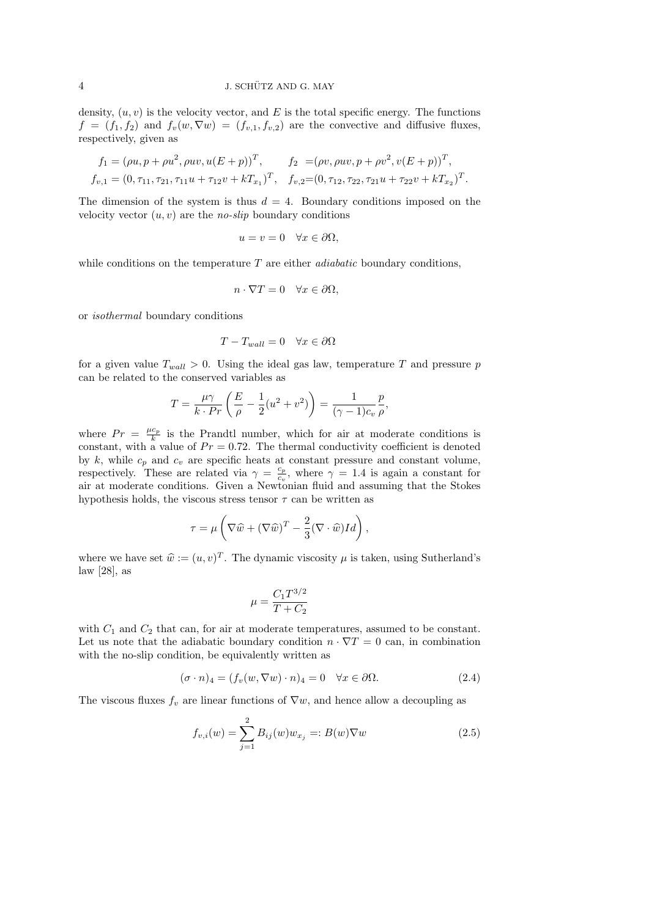density,  $(u, v)$  is the velocity vector, and E is the total specific energy. The functions  $f = (f_1, f_2)$  and  $f_v(w, \nabla w) = (f_{v,1}, f_{v,2})$  are the convective and diffusive fluxes, respectively, given as

$$
f_1 = (\rho u, p + \rho u^2, \rho u v, u(E + p))^T, \qquad f_2 = (\rho v, \rho u v, p + \rho v^2, v(E + p))^T,
$$
  
\n
$$
f_{v,1} = (0, \tau_{11}, \tau_{21}, \tau_{11} u + \tau_{12} v + kT_{x_1})^T, \quad f_{v,2} = (0, \tau_{12}, \tau_{22}, \tau_{21} u + \tau_{22} v + kT_{x_2})^T.
$$

The dimension of the system is thus  $d = 4$ . Boundary conditions imposed on the velocity vector  $(u, v)$  are the *no-slip* boundary conditions

$$
u = v = 0 \quad \forall x \in \partial \Omega,
$$

while conditions on the temperature  $T$  are either *adiabatic* boundary conditions,

$$
n \cdot \nabla T = 0 \quad \forall x \in \partial \Omega,
$$

or isothermal boundary conditions

$$
T - T_{wall} = 0 \quad \forall x \in \partial\Omega
$$

for a given value  $T_{wall} > 0$ . Using the ideal gas law, temperature T and pressure p can be related to the conserved variables as

$$
T = \frac{\mu \gamma}{k \cdot Pr} \left( \frac{E}{\rho} - \frac{1}{2} (u^2 + v^2) \right) = \frac{1}{(\gamma - 1)c_v} \frac{p}{\rho},
$$

where  $Pr = \frac{\mu c_p}{k}$  is the Prandtl number, which for air at moderate conditions is constant, with a value of  $Pr = 0.72$ . The thermal conductivity coefficient is denoted by k, while  $c_p$  and  $c_v$  are specific heats at constant pressure and constant volume, respectively. These are related via  $\gamma = \frac{c_p}{c}$  $\frac{c_p}{c_v}$ , where  $\gamma = 1.4$  is again a constant for air at moderate conditions. Given a Newtonian fluid and assuming that the Stokes hypothesis holds, the viscous stress tensor  $\tau$  can be written as

$$
\tau = \mu \left( \nabla \widehat{w} + (\nabla \widehat{w})^T - \frac{2}{3} (\nabla \cdot \widehat{w}) Id \right),
$$

where we have set  $\hat{w} := (u, v)^T$ . The dynamic viscosity  $\mu$  is taken, using Sutherland's law [28] law [28], as

$$
\mu=\frac{C_1T^{3/2}}{T+C_2}
$$

with  $C_1$  and  $C_2$  that can, for air at moderate temperatures, assumed to be constant. Let us note that the adiabatic boundary condition  $n \cdot \nabla T = 0$  can, in combination with the no-slip condition, be equivalently written as

$$
(\sigma \cdot n)_4 = (f_v(w, \nabla w) \cdot n)_4 = 0 \quad \forall x \in \partial \Omega.
$$
 (2.4)

The viscous fluxes  $f_v$  are linear functions of  $\nabla w$ , and hence allow a decoupling as

$$
f_{v,i}(w) = \sum_{j=1}^{2} B_{ij}(w) w_{x_j} =: B(w) \nabla w \tag{2.5}
$$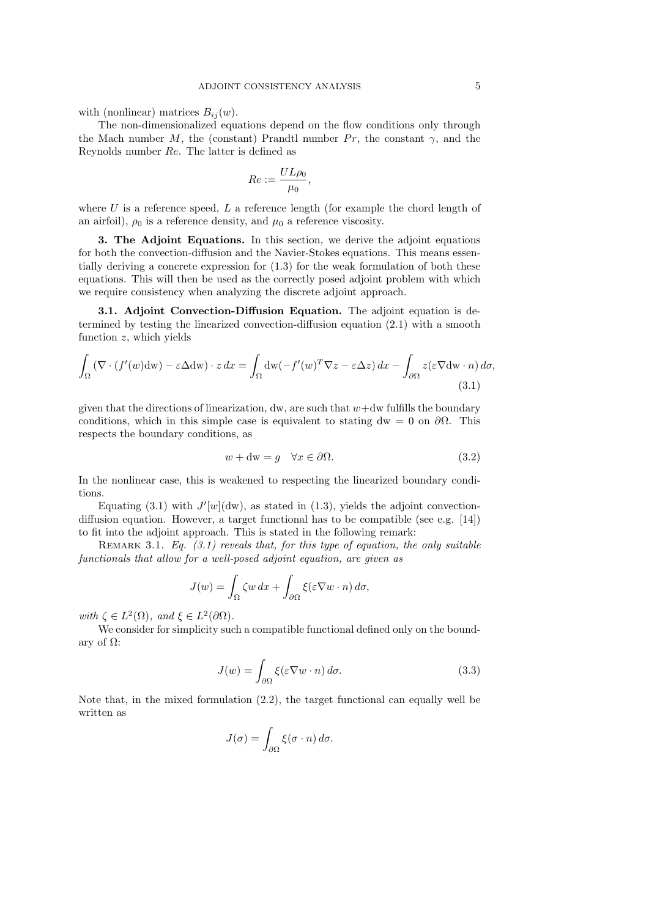with (nonlinear) matrices  $B_{ij}(w)$ .

The non-dimensionalized equations depend on the flow conditions only through the Mach number M, the (constant) Prandtl number  $Pr$ , the constant  $\gamma$ , and the Reynolds number Re. The latter is defined as

$$
Re:=\frac{UL\rho_0}{\mu_0},
$$

where  $U$  is a reference speed,  $L$  a reference length (for example the chord length of an airfoil),  $\rho_0$  is a reference density, and  $\mu_0$  a reference viscosity.

3. The Adjoint Equations. In this section, we derive the adjoint equations for both the convection-diffusion and the Navier-Stokes equations. This means essentially deriving a concrete expression for (1.3) for the weak formulation of both these equations. This will then be used as the correctly posed adjoint problem with which we require consistency when analyzing the discrete adjoint approach.

3.1. Adjoint Convection-Diffusion Equation. The adjoint equation is determined by testing the linearized convection-diffusion equation (2.1) with a smooth function  $z$ , which yields

$$
\int_{\Omega} \left( \nabla \cdot (f'(w) \mathrm{d}w) - \varepsilon \Delta \mathrm{d}w \right) \cdot z \, dx = \int_{\Omega} \mathrm{dw} \left( -f'(w)^T \nabla z - \varepsilon \Delta z \right) dx - \int_{\partial \Omega} z(\varepsilon \nabla \mathrm{d}w \cdot n) \, d\sigma,\tag{3.1}
$$

given that the directions of linearization, dw, are such that  $w+dw$  fulfills the boundary conditions, which in this simple case is equivalent to stating dw = 0 on  $\partial\Omega$ . This respects the boundary conditions, as

$$
w + dw = g \quad \forall x \in \partial \Omega.
$$
\n
$$
(3.2)
$$

In the nonlinear case, this is weakened to respecting the linearized boundary conditions.

Equating (3.1) with  $J'[w](dw)$ , as stated in (1.3), yields the adjoint convectiondiffusion equation. However, a target functional has to be compatible (see e.g.  $[14]$ ) to fit into the adjoint approach. This is stated in the following remark:

REMARK 3.1. Eq.  $(3.1)$  reveals that, for this type of equation, the only suitable functionals that allow for a well-posed adjoint equation, are given as

$$
J(w) = \int_{\Omega} \zeta w \, dx + \int_{\partial \Omega} \xi (\varepsilon \nabla w \cdot n) \, d\sigma,
$$

with  $\zeta \in L^2(\Omega)$ , and  $\xi \in L^2(\partial\Omega)$ .

We consider for simplicity such a compatible functional defined only on the boundary of Ω:

$$
J(w) = \int_{\partial \Omega} \xi(\varepsilon \nabla w \cdot n) d\sigma.
$$
 (3.3)

Note that, in the mixed formulation (2.2), the target functional can equally well be written as

$$
J(\sigma) = \int_{\partial\Omega} \xi(\sigma \cdot n) d\sigma.
$$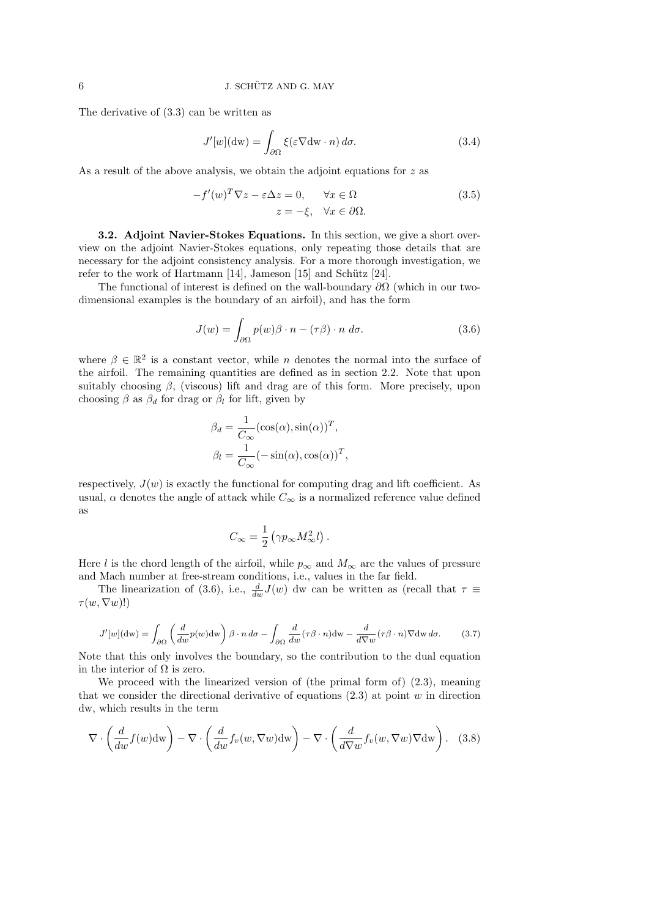The derivative of (3.3) can be written as

$$
J'[w](dw) = \int_{\partial\Omega} \xi(\varepsilon \nabla dw \cdot n) d\sigma.
$$
 (3.4)

As a result of the above analysis, we obtain the adjoint equations for z as

$$
-f'(w)^T \nabla z - \varepsilon \Delta z = 0, \quad \forall x \in \Omega
$$
  

$$
z = -\xi, \quad \forall x \in \partial \Omega.
$$
 (3.5)

3.2. Adjoint Navier-Stokes Equations. In this section, we give a short overview on the adjoint Navier-Stokes equations, only repeating those details that are necessary for the adjoint consistency analysis. For a more thorough investigation, we refer to the work of Hartmann  $[14]$ , Jameson  $[15]$  and Schütz  $[24]$ .

The functional of interest is defined on the wall-boundary  $\partial\Omega$  (which in our twodimensional examples is the boundary of an airfoil), and has the form

$$
J(w) = \int_{\partial \Omega} p(w)\beta \cdot n - (\tau \beta) \cdot n \, d\sigma. \tag{3.6}
$$

where  $\beta \in \mathbb{R}^2$  is a constant vector, while n denotes the normal into the surface of the airfoil. The remaining quantities are defined as in section 2.2. Note that upon suitably choosing  $\beta$ , (viscous) lift and drag are of this form. More precisely, upon choosing  $\beta$  as  $\beta_d$  for drag or  $\beta_l$  for lift, given by

$$
\beta_d = \frac{1}{C_{\infty}} (\cos(\alpha), \sin(\alpha))^T, \n\beta_l = \frac{1}{C_{\infty}} (-\sin(\alpha), \cos(\alpha))^T,
$$

respectively,  $J(w)$  is exactly the functional for computing drag and lift coefficient. As usual,  $\alpha$  denotes the angle of attack while  $C_{\infty}$  is a normalized reference value defined as

$$
C_\infty = \frac{1}{2} \left( \gamma p_\infty M_\infty^2 l \right).
$$

Here l is the chord length of the airfoil, while  $p_{\infty}$  and  $M_{\infty}$  are the values of pressure and Mach number at free-stream conditions, i.e., values in the far field.

The linearization of (3.6), i.e.,  $\frac{d}{dw}J(w)$  dw can be written as (recall that  $\tau \equiv$  $\tau(w,\nabla w)!$ 

$$
J'[w](dw) = \int_{\partial\Omega} \left(\frac{d}{dw}p(w)dw\right) \beta \cdot n \,d\sigma - \int_{\partial\Omega} \frac{d}{dw}(\tau \beta \cdot n)dw - \frac{d}{d\nabla w}(\tau \beta \cdot n)\nabla dw \,d\sigma. \tag{3.7}
$$

Note that this only involves the boundary, so the contribution to the dual equation in the interior of  $\Omega$  is zero.

We proceed with the linearized version of (the primal form of) (2.3), meaning that we consider the directional derivative of equations  $(2.3)$  at point w in direction dw, which results in the term

$$
\nabla \cdot \left( \frac{d}{dw} f(w) dw \right) - \nabla \cdot \left( \frac{d}{dw} f_v(w, \nabla w) dw \right) - \nabla \cdot \left( \frac{d}{d \nabla w} f_v(w, \nabla w) \nabla dw \right). \quad (3.8)
$$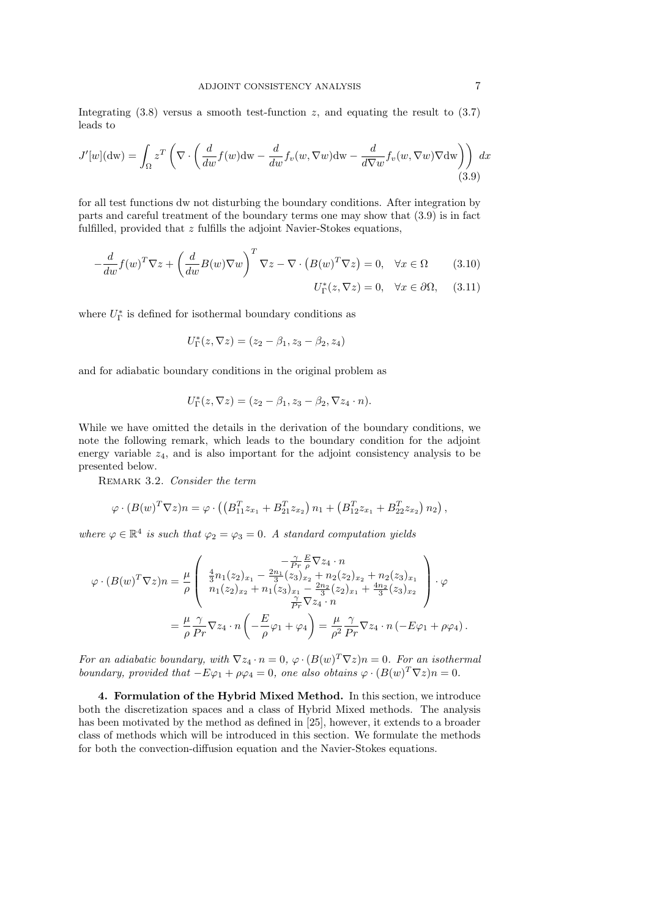Integrating  $(3.8)$  versus a smooth test-function z, and equating the result to  $(3.7)$ leads to

$$
J'[w](dw) = \int_{\Omega} z^T \left( \nabla \cdot \left( \frac{d}{dw} f(w) dw - \frac{d}{dw} f_v(w, \nabla w) dw - \frac{d}{d \nabla w} f_v(w, \nabla w) \nabla dw \right) \right) dx
$$
\n(3.9)

for all test functions dw not disturbing the boundary conditions. After integration by parts and careful treatment of the boundary terms one may show that (3.9) is in fact fulfilled, provided that z fulfills the adjoint Navier-Stokes equations,

$$
-\frac{d}{dw}f(w)^T \nabla z + \left(\frac{d}{dw}B(w)\nabla w\right)^T \nabla z - \nabla \cdot \left(B(w)^T \nabla z\right) = 0, \quad \forall x \in \Omega \tag{3.10}
$$

$$
U^*_\Gamma(z, \nabla z) = 0, \quad \forall x \in \partial\Omega, \tag{3.11}
$$

where  $U^{\ast}_{\Gamma}$  is defined for isothermal boundary conditions as

$$
U_{\Gamma}^*(z,\nabla z) = (z_2 - \beta_1, z_3 - \beta_2, z_4)
$$

and for adiabatic boundary conditions in the original problem as

$$
U_{\Gamma}^*(z,\nabla z)=(z_2-\beta_1,z_3-\beta_2,\nabla z_4\cdot n).
$$

While we have omitted the details in the derivation of the boundary conditions, we note the following remark, which leads to the boundary condition for the adjoint energy variable  $z_4$ , and is also important for the adjoint consistency analysis to be presented below.

REMARK 3.2. Consider the term

$$
\varphi \cdot (B(w)^T \nabla z) n = \varphi \cdot \left( \left( B_{11}^T z_{x_1} + B_{21}^T z_{x_2} \right) n_1 + \left( B_{12}^T z_{x_1} + B_{22}^T z_{x_2} \right) n_2 \right),
$$

where  $\varphi \in \mathbb{R}^4$  is such that  $\varphi_2 = \varphi_3 = 0$ . A standard computation yields

$$
\varphi \cdot (B(w)^T \nabla z) n = \frac{\mu}{\rho} \begin{pmatrix} -\frac{\gamma}{Pr} \frac{E}{\rho} \nabla z_4 \cdot n \\ \frac{4}{3} n_1 (z_2)_{x_1} - \frac{2n_1}{3} (z_3)_{x_2} + n_2 (z_2)_{x_2} + n_2 (z_3)_{x_1} \\ n_1 (z_2)_{x_2} + n_1 (z_3)_{x_1} - \frac{2n_2}{3} (z_2)_{x_1} + \frac{4n_2}{3} (z_3)_{x_2} \\ \frac{\gamma}{Pr} \nabla z_4 \cdot n \end{pmatrix} \cdot \varphi
$$
  
=  $\frac{\mu}{\rho} \frac{\gamma}{Pr} \nabla z_4 \cdot n \left( -\frac{E}{\rho} \varphi_1 + \varphi_4 \right) = \frac{\mu}{\rho^2} \frac{\gamma}{Pr} \nabla z_4 \cdot n \left( -E \varphi_1 + \rho \varphi_4 \right).$ 

For an adiabatic boundary, with  $\nabla z_4 \cdot n = 0$ ,  $\varphi \cdot (B(w)^T \nabla z)n = 0$ . For an isothermal boundary, provided that  $-E\varphi_1 + \rho\varphi_4 = 0$ , one also obtains  $\varphi \cdot (B(w)^T \nabla z)n = 0$ .

4. Formulation of the Hybrid Mixed Method. In this section, we introduce both the discretization spaces and a class of Hybrid Mixed methods. The analysis has been motivated by the method as defined in [25], however, it extends to a broader class of methods which will be introduced in this section. We formulate the methods for both the convection-diffusion equation and the Navier-Stokes equations.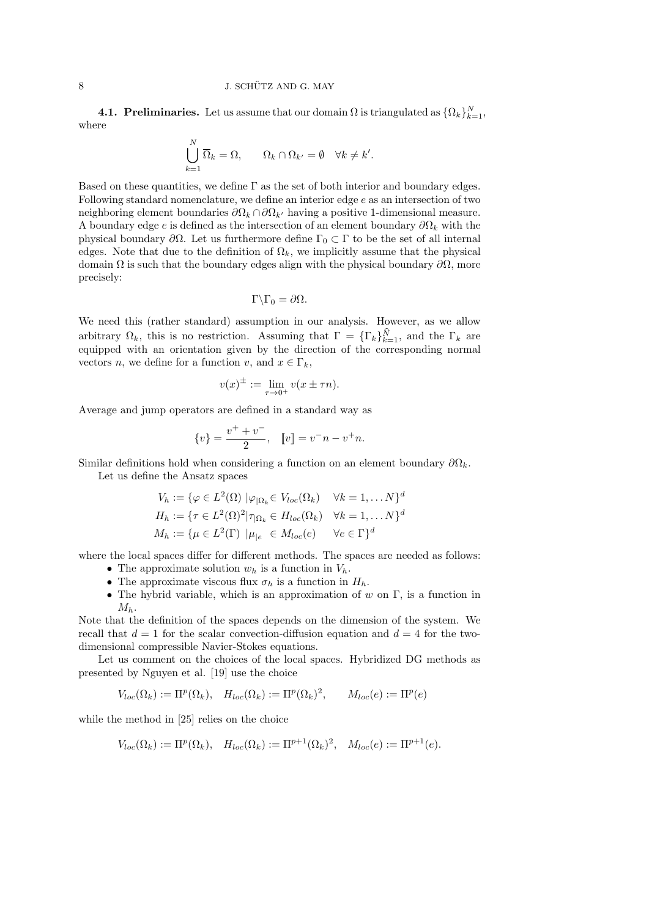**4.1. Preliminaries.** Let us assume that our domain  $\Omega$  is triangulated as  $\{\Omega_k\}_{k=1}^N$ , where

$$
\bigcup_{k=1}^N \overline{\Omega}_k = \Omega, \qquad \Omega_k \cap \Omega_{k'} = \emptyset \quad \forall k \neq k'.
$$

Based on these quantities, we define  $\Gamma$  as the set of both interior and boundary edges. Following standard nomenclature, we define an interior edge e as an intersection of two neighboring element boundaries  $\partial\Omega_k \cap \partial\Omega_{k'}$  having a positive 1-dimensional measure. A boundary edge e is defined as the intersection of an element boundary  $\partial\Omega_k$  with the physical boundary  $\partial \Omega$ . Let us furthermore define Γ<sub>0</sub> ⊂ Γ to be the set of all internal edges. Note that due to the definition of  $\Omega_k$ , we implicitly assume that the physical domain  $\Omega$  is such that the boundary edges align with the physical boundary  $\partial\Omega$ , more precisely:

$$
\Gamma \backslash \Gamma_0 = \partial \Omega.
$$

We need this (rather standard) assumption in our analysis. However, as we allow arbitrary  $\Omega_k$ , this is no restriction. Assuming that  $\Gamma = {\{\Gamma_k\}}_{k=1}^N$ , and the  $\Gamma_k$  are equipped with an orientation given by the direction of the corresponding normal vectors *n*, we define for a function *v*, and  $x \in \Gamma_k$ ,

$$
v(x)^{\pm} := \lim_{\tau \to 0^+} v(x \pm \tau n).
$$

Average and jump operators are defined in a standard way as

$$
\{v\} = \frac{v^+ + v^-}{2}, \quad [ [v] = v^- n - v^+ n.
$$

Similar definitions hold when considering a function on an element boundary  $\partial\Omega_k$ . Let us define the Ansatz spaces

$$
V_h := \{ \varphi \in L^2(\Omega) \mid \varphi_{|\Omega_k} \in V_{loc}(\Omega_k) \quad \forall k = 1, \dots N \}^d
$$
  
\n
$$
H_h := \{ \tau \in L^2(\Omega)^2 | \tau_{|\Omega_k} \in H_{loc}(\Omega_k) \quad \forall k = 1, \dots N \}^d
$$
  
\n
$$
M_h := \{ \mu \in L^2(\Gamma) \mid \mu_{|e} \in M_{loc}(e) \quad \forall e \in \Gamma \}^d
$$

where the local spaces differ for different methods. The spaces are needed as follows:

- The approximate solution  $w_h$  is a function in  $V_h$ .
- The approximate viscous flux  $\sigma_h$  is a function in  $H_h$ .
- The hybrid variable, which is an approximation of w on  $\Gamma$ , is a function in  $M_h$ .

Note that the definition of the spaces depends on the dimension of the system. We recall that  $d = 1$  for the scalar convection-diffusion equation and  $d = 4$  for the twodimensional compressible Navier-Stokes equations.

Let us comment on the choices of the local spaces. Hybridized DG methods as presented by Nguyen et al. [19] use the choice

$$
V_{loc}(\Omega_k) := \Pi^p(\Omega_k), \quad H_{loc}(\Omega_k) := \Pi^p(\Omega_k)^2, \qquad M_{loc}(e) := \Pi^p(e)
$$

while the method in [25] relies on the choice

$$
V_{loc}(\Omega_k) := \Pi^p(\Omega_k), \quad H_{loc}(\Omega_k) := \Pi^{p+1}(\Omega_k)^2, \quad M_{loc}(e) := \Pi^{p+1}(e).
$$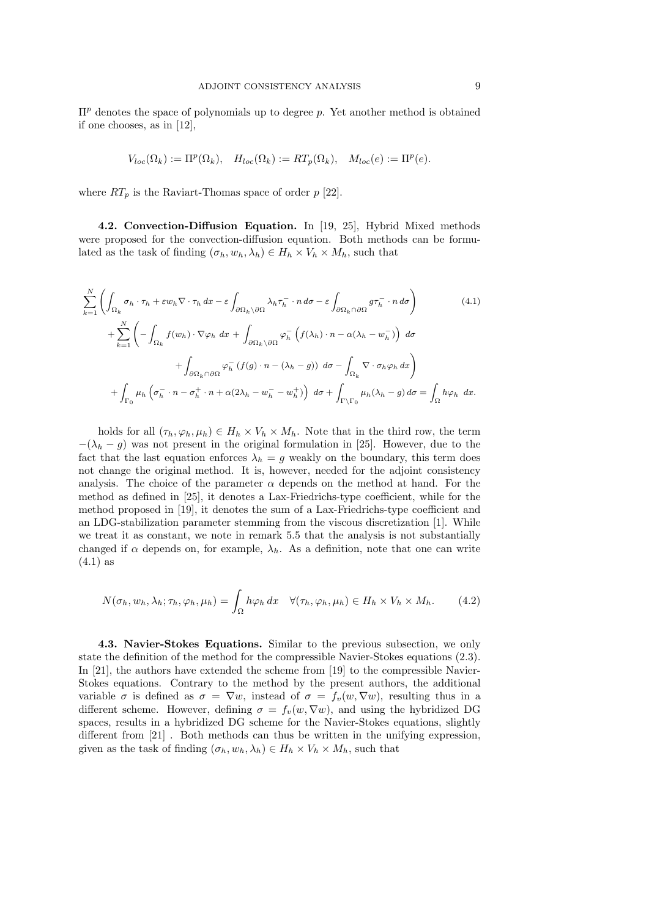$\Pi^p$  denotes the space of polynomials up to degree p. Yet another method is obtained if one chooses, as in [12],

$$
V_{loc}(\Omega_k) := \Pi^p(\Omega_k), \quad H_{loc}(\Omega_k) := RT_p(\Omega_k), \quad M_{loc}(e) := \Pi^p(e).
$$

where  $RT_p$  is the Raviart-Thomas space of order p [22].

4.2. Convection-Diffusion Equation. In [19, 25], Hybrid Mixed methods were proposed for the convection-diffusion equation. Both methods can be formulated as the task of finding  $(\sigma_h, w_h, \lambda_h) \in H_h \times V_h \times M_h$ , such that

$$
\sum_{k=1}^{N} \left( \int_{\Omega_{k}} \sigma_{h} \cdot \tau_{h} + \varepsilon w_{h} \nabla \cdot \tau_{h} dx - \varepsilon \int_{\partial \Omega_{k} \setminus \partial \Omega} \lambda_{h} \tau_{h}^{-} \cdot n d\sigma - \varepsilon \int_{\partial \Omega_{k} \cap \partial \Omega} g \tau_{h}^{-} \cdot n d\sigma \right)
$$
(4.1)  
+ 
$$
\sum_{k=1}^{N} \left( - \int_{\Omega_{k}} f(w_{h}) \cdot \nabla \varphi_{h} dx + \int_{\partial \Omega_{k} \setminus \partial \Omega} \varphi_{h}^{-} \left( f(\lambda_{h}) \cdot n - \alpha (\lambda_{h} - w_{h}^{-}) \right) d\sigma + \int_{\partial \Omega_{k} \cap \partial \Omega} \varphi_{h}^{-} \left( f(g) \cdot n - (\lambda_{h} - g) \right) d\sigma - \int_{\Omega_{k}} \nabla \cdot \sigma_{h} \varphi_{h} dx \right)
$$
  
+ 
$$
\int_{\Gamma_{0}} \mu_{h} \left( \sigma_{h}^{-} \cdot n - \sigma_{h}^{+} \cdot n + \alpha (2\lambda_{h} - w_{h}^{-} - w_{h}^{+}) \right) d\sigma + \int_{\Gamma \setminus \Gamma_{0}} \mu_{h} (\lambda_{h} - g) d\sigma = \int_{\Omega} h \varphi_{h} dx.
$$

holds for all  $(\tau_h, \varphi_h, \mu_h) \in H_h \times V_h \times M_h$ . Note that in the third row, the term  $-(\lambda_h - g)$  was not present in the original formulation in [25]. However, due to the fact that the last equation enforces  $\lambda_h = g$  weakly on the boundary, this term does not change the original method. It is, however, needed for the adjoint consistency analysis. The choice of the parameter  $\alpha$  depends on the method at hand. For the method as defined in [25], it denotes a Lax-Friedrichs-type coefficient, while for the method proposed in [19], it denotes the sum of a Lax-Friedrichs-type coefficient and an LDG-stabilization parameter stemming from the viscous discretization [1]. While we treat it as constant, we note in remark 5.5 that the analysis is not substantially changed if  $\alpha$  depends on, for example,  $\lambda_h$ . As a definition, note that one can write  $(4.1)$  as

$$
N(\sigma_h, w_h, \lambda_h; \tau_h, \varphi_h, \mu_h) = \int_{\Omega} h \varphi_h \, dx \quad \forall (\tau_h, \varphi_h, \mu_h) \in H_h \times V_h \times M_h. \tag{4.2}
$$

4.3. Navier-Stokes Equations. Similar to the previous subsection, we only state the definition of the method for the compressible Navier-Stokes equations (2.3). In [21], the authors have extended the scheme from [19] to the compressible Navier-Stokes equations. Contrary to the method by the present authors, the additional variable  $\sigma$  is defined as  $\sigma = \nabla w$ , instead of  $\sigma = f_v(w, \nabla w)$ , resulting thus in a different scheme. However, defining  $\sigma = f_v(w, \nabla w)$ , and using the hybridized DG spaces, results in a hybridized DG scheme for the Navier-Stokes equations, slightly different from [21] . Both methods can thus be written in the unifying expression, given as the task of finding  $(\sigma_h, w_h, \lambda_h) \in H_h \times V_h \times M_h$ , such that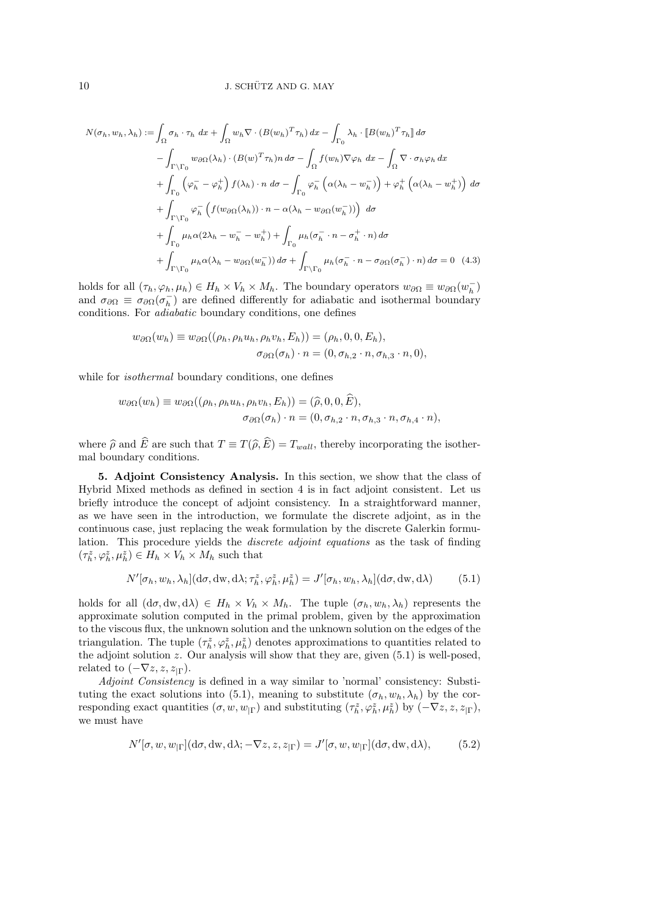$$
N(\sigma_h, w_h, \lambda_h) := \int_{\Omega} \sigma_h \cdot \tau_h \, dx + \int_{\Omega} w_h \nabla \cdot (B(w_h)^T \tau_h) \, dx - \int_{\Gamma_0} \lambda_h \cdot [B(w_h)^T \tau_h] \, d\sigma
$$

$$
- \int_{\Gamma \backslash \Gamma_0} w_{\partial \Omega}(\lambda_h) \cdot (B(w)^T \tau_h) \, d\sigma - \int_{\Omega} f(w_h) \nabla \varphi_h \, dx - \int_{\Omega} \nabla \cdot \sigma_h \varphi_h \, dx
$$

$$
+ \int_{\Gamma_0} (\varphi_h^- - \varphi_h^+) f(\lambda_h) \cdot n \, d\sigma - \int_{\Gamma_0} \varphi_h^- \left( \alpha(\lambda_h - w_h^-) \right) + \varphi_h^+ \left( \alpha(\lambda_h - w_h^+) \right) \, d\sigma
$$

$$
+ \int_{\Gamma \backslash \Gamma_0} \varphi_h^- \left( f(w_{\partial \Omega}(\lambda_h)) \cdot n - \alpha(\lambda_h - w_{\partial \Omega}(w_h^-)) \right) \, d\sigma
$$

$$
+ \int_{\Gamma_0} \mu_h \alpha(2\lambda_h - w_h^- - w_h^+) + \int_{\Gamma_0} \mu_h (\sigma_h^- \cdot n - \sigma_h^+ \cdot n) \, d\sigma
$$

$$
+ \int_{\Gamma \backslash \Gamma_0} \mu_h \alpha(\lambda_h - w_{\partial \Omega}(w_h^-)) \, d\sigma + \int_{\Gamma \backslash \Gamma_0} \mu_h (\sigma_h^- \cdot n - \sigma_{\partial \Omega}(\sigma_h^-) \cdot n) \, d\sigma = 0 \quad (4.3)
$$

holds for all  $(\tau_h, \varphi_h, \mu_h) \in H_h \times V_h \times M_h$ . The boundary operators  $w_{\partial\Omega} \equiv w_{\partial\Omega}(w_h^-)$ and  $\sigma_{\partial\Omega} \equiv \sigma_{\partial\Omega}(\sigma_h^-)$  are defined differently for adiabatic and isothermal boundary conditions. For adiabatic boundary conditions, one defines

$$
w_{\partial\Omega}(w_h) \equiv w_{\partial\Omega}((\rho_h, \rho_h u_h, \rho_h v_h, E_h)) = (\rho_h, 0, 0, E_h),
$$
  

$$
\sigma_{\partial\Omega}(\sigma_h) \cdot n = (0, \sigma_{h,2} \cdot n, \sigma_{h,3} \cdot n, 0),
$$

while for *isothermal* boundary conditions, one defines

$$
w_{\partial\Omega}(w_h) \equiv w_{\partial\Omega}((\rho_h, \rho_h u_h, \rho_h v_h, E_h)) = (\hat{\rho}, 0, 0, E),
$$
  

$$
\sigma_{\partial\Omega}(\sigma_h) \cdot n = (0, \sigma_{h,2} \cdot n, \sigma_{h,3} \cdot n, \sigma_{h,4} \cdot n),
$$

where  $\hat{\rho}$  and  $\hat{E}$  are such that  $T \equiv T(\hat{\rho}, \hat{E}) = T_{wall}$ , thereby incorporating the isothermal boundary conditions.

5. Adjoint Consistency Analysis. In this section, we show that the class of Hybrid Mixed methods as defined in section 4 is in fact adjoint consistent. Let us briefly introduce the concept of adjoint consistency. In a straightforward manner, as we have seen in the introduction, we formulate the discrete adjoint, as in the continuous case, just replacing the weak formulation by the discrete Galerkin formulation. This procedure yields the discrete adjoint equations as the task of finding  $(\tau_h^z, \varphi_h^z, \mu_h^z) \in H_h \times V_h \times M_h$  such that

$$
N'[\sigma_h, w_h, \lambda_h](\mathrm{d}\sigma, \mathrm{d}w, \mathrm{d}\lambda; \tau_h^z, \varphi_h^z, \mu_h^z) = J'[\sigma_h, w_h, \lambda_h](\mathrm{d}\sigma, \mathrm{d}w, \mathrm{d}\lambda)
$$
(5.1)

holds for all  $(d\sigma, dw, d\lambda) \in H_h \times V_h \times M_h$ . The tuple  $(\sigma_h, w_h, \lambda_h)$  represents the approximate solution computed in the primal problem, given by the approximation to the viscous flux, the unknown solution and the unknown solution on the edges of the triangulation. The tuple  $(\tau_h^z, \varphi_h^z, \mu_h^z)$  denotes approximations to quantities related to the adjoint solution  $z$ . Our analysis will show that they are, given  $(5.1)$  is well-posed, related to  $(-\nabla z, z, z_{\Gamma}).$ 

Adjoint Consistency is defined in a way similar to 'normal' consistency: Substituting the exact solutions into (5.1), meaning to substitute  $(\sigma_h, w_h, \lambda_h)$  by the corresponding exact quantities  $(\sigma, w, w_{|\Gamma})$  and substituting  $(\tau_h^z, \varphi_h^z, \mu_h^z)$  by  $(-\nabla z, z, z_{|\Gamma})$ , we must have

$$
N'[\sigma, w, w_{|\Gamma}](\mathrm{d}\sigma, \mathrm{d}w, \mathrm{d}\lambda; -\nabla z, z, z_{|\Gamma}) = J'[\sigma, w, w_{|\Gamma}](\mathrm{d}\sigma, \mathrm{d}w, \mathrm{d}\lambda), \tag{5.2}
$$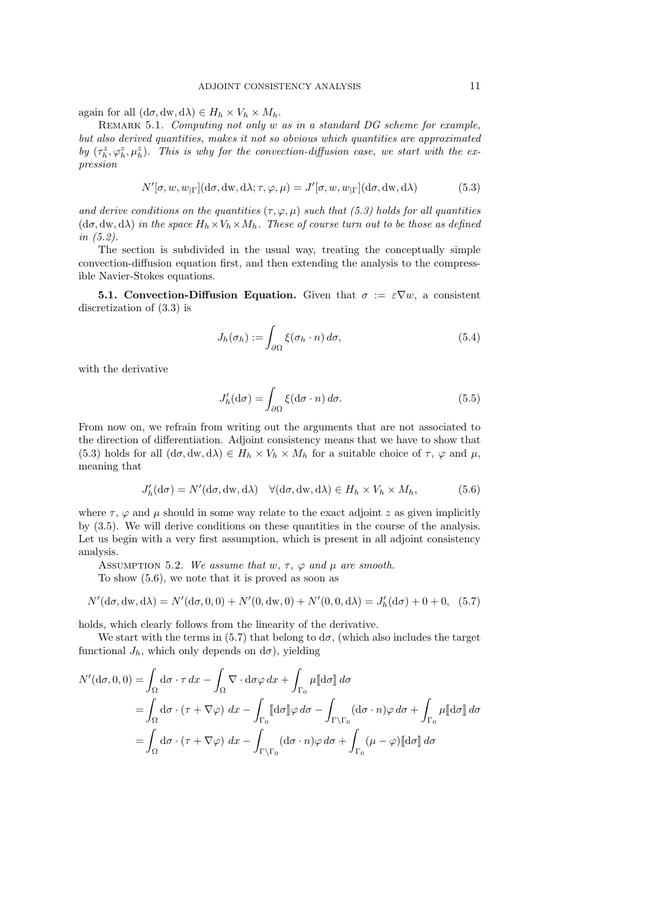again for all  $(d\sigma, dw, d\lambda) \in H_h \times V_h \times M_h$ .

REMARK 5.1. Computing not only w as in a standard DG scheme for example, but also derived quantities, makes it not so obvious which quantities are approximated by  $(\tau_h^z, \varphi_h^z, \mu_h^z)$ . This is why for the convection-diffusion case, we start with the expression

$$
N'[\sigma, w, w_{|\Gamma}](d\sigma, dw, d\lambda; \tau, \varphi, \mu) = J'[\sigma, w, w_{|\Gamma}](d\sigma, dw, d\lambda)
$$
 (5.3)

and derive conditions on the quantities  $(\tau, \varphi, \mu)$  such that (5.3) holds for all quantities  $(d\sigma, dw, d\lambda)$  in the space  $H_h \times V_h \times M_h$ . These of course turn out to be those as defined in (5.2).

The section is subdivided in the usual way, treating the conceptually simple convection-diffusion equation first, and then extending the analysis to the compressible Navier-Stokes equations.

**5.1. Convection-Diffusion Equation.** Given that  $\sigma := \varepsilon \nabla w$ , a consistent discretization of (3.3) is

$$
J_h(\sigma_h) := \int_{\partial\Omega} \xi(\sigma_h \cdot n) \, d\sigma,\tag{5.4}
$$

with the derivative

$$
J'_h(\mathrm{d}\sigma) = \int_{\partial\Omega} \xi(\mathrm{d}\sigma \cdot n) \, d\sigma. \tag{5.5}
$$

From now on, we refrain from writing out the arguments that are not associated to the direction of differentiation. Adjoint consistency means that we have to show that (5.3) holds for all  $(d\sigma, dw, d\lambda) \in H_h \times V_h \times M_h$  for a suitable choice of  $\tau$ ,  $\varphi$  and  $\mu$ , meaning that

$$
J'_{h}(\mathrm{d}\sigma) = N'(\mathrm{d}\sigma, \mathrm{d}\mathbf{w}, \mathrm{d}\lambda) \quad \forall (\mathrm{d}\sigma, \mathrm{d}\mathbf{w}, \mathrm{d}\lambda) \in H_{h} \times V_{h} \times M_{h},\tag{5.6}
$$

where  $\tau$ ,  $\varphi$  and  $\mu$  should in some way relate to the exact adjoint z as given implicitly by (3.5). We will derive conditions on these quantities in the course of the analysis. Let us begin with a very first assumption, which is present in all adjoint consistency analysis.

ASSUMPTION 5.2. We assume that  $w, \tau, \varphi$  and  $\mu$  are smooth.

To show (5.6), we note that it is proved as soon as

$$
N'(\mathrm{d}\sigma, \mathrm{d}w, \mathrm{d}\lambda) = N'(\mathrm{d}\sigma, 0, 0) + N'(0, \mathrm{d}w, 0) + N'(0, 0, \mathrm{d}\lambda) = J'_h(\mathrm{d}\sigma) + 0 + 0, \quad (5.7)
$$

holds, which clearly follows from the linearity of the derivative.

We start with the terms in (5.7) that belong to  $d\sigma$ , (which also includes the target functional  $J_h$ , which only depends on  $d\sigma$ ), yielding

$$
N'(\mathrm{d}\sigma, 0, 0) = \int_{\Omega} \mathrm{d}\sigma \cdot \tau \, dx - \int_{\Omega} \nabla \cdot \mathrm{d}\sigma \varphi \, dx + \int_{\Gamma_{0}} \mu[\![\mathrm{d}\sigma]\!] \, d\sigma
$$
  
= 
$$
\int_{\Omega} \mathrm{d}\sigma \cdot (\tau + \nabla \varphi) \, dx - \int_{\Gamma_{0}} [\![\mathrm{d}\sigma]\!] \varphi \, d\sigma - \int_{\Gamma \backslash \Gamma_{0}} (\mathrm{d}\sigma \cdot n) \varphi \, d\sigma + \int_{\Gamma_{0}} \mu[\![\mathrm{d}\sigma]\!] \, d\sigma
$$
  
= 
$$
\int_{\Omega} \mathrm{d}\sigma \cdot (\tau + \nabla \varphi) \, dx - \int_{\Gamma \backslash \Gamma_{0}} (\mathrm{d}\sigma \cdot n) \varphi \, d\sigma + \int_{\Gamma_{0}} (\mu - \varphi) [\![\mathrm{d}\sigma]\!] \, d\sigma
$$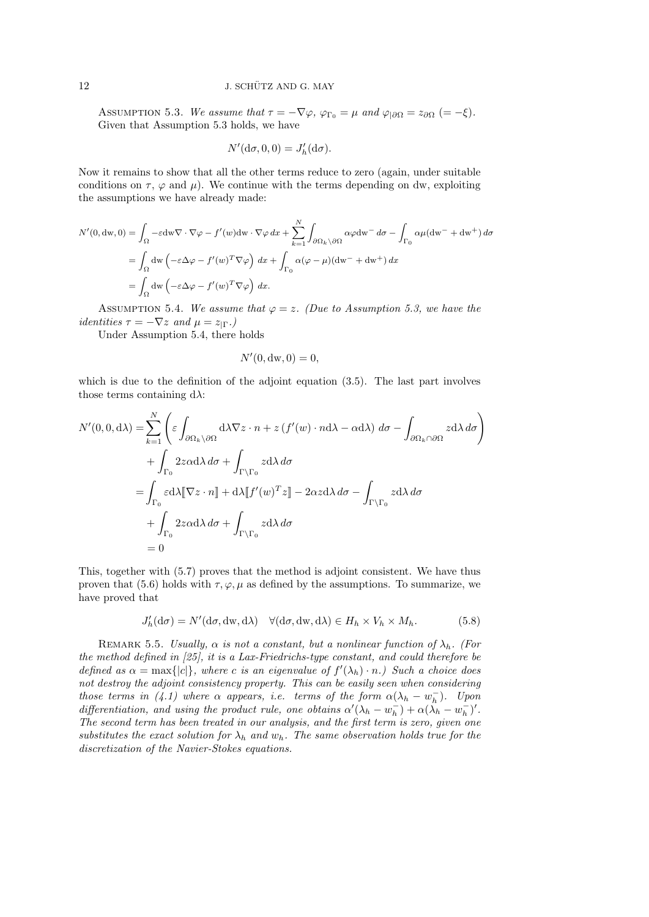ASSUMPTION 5.3. We assume that  $\tau = -\nabla \varphi$ ,  $\varphi_{\Gamma_0} = \mu$  and  $\varphi_{\partial \Omega} = z_{\partial \Omega}$  (= -ξ). Given that Assumption 5.3 holds, we have

$$
N'(\mathrm{d}\sigma, 0, 0) = J'_h(\mathrm{d}\sigma).
$$

Now it remains to show that all the other terms reduce to zero (again, under suitable conditions on  $\tau$ ,  $\varphi$  and  $\mu$ ). We continue with the terms depending on dw, exploiting the assumptions we have already made:

$$
N'(0, dw, 0) = \int_{\Omega} -\varepsilon dw \nabla \cdot \nabla \varphi - f'(w) dw \cdot \nabla \varphi dx + \sum_{k=1}^{N} \int_{\partial \Omega_k \setminus \partial \Omega} \alpha \varphi dw - d\sigma - \int_{\Gamma_0} \alpha \mu(dw^{-} + dw^{+}) d\sigma
$$
  
= 
$$
\int_{\Omega} dw \left( -\varepsilon \Delta \varphi - f'(w)^{T} \nabla \varphi \right) dx + \int_{\Gamma_0} \alpha (\varphi - \mu)(dw^{-} + dw^{+}) dx
$$
  
= 
$$
\int_{\Omega} dw \left( -\varepsilon \Delta \varphi - f'(w)^{T} \nabla \varphi \right) dx.
$$

ASSUMPTION 5.4. We assume that  $\varphi = z$ . (Due to Assumption 5.3, we have the *identities*  $\tau = -\nabla z$  *and*  $\mu = z_{\mid \Gamma}$ .)

Under Assumption 5.4, there holds

$$
N'(0, \mathrm{dw}, 0) = 0,
$$

which is due to the definition of the adjoint equation (3.5). The last part involves those terms containing  $d\lambda$ :

$$
N'(0,0,d\lambda) = \sum_{k=1}^{N} \left( \varepsilon \int_{\partial\Omega_k \setminus \partial\Omega} d\lambda \nabla z \cdot n + z \left( f'(w) \cdot n d\lambda - \alpha d\lambda \right) d\sigma - \int_{\partial\Omega_k \cap \partial\Omega} z d\lambda d\sigma \right) + \int_{\Gamma_0} 2z \alpha d\lambda d\sigma + \int_{\Gamma \setminus \Gamma_0} z d\lambda d\sigma = \int_{\Gamma_0} \varepsilon d\lambda [\nabla z \cdot n] + d\lambda [f'(w)^T z] - 2\alpha z d\lambda d\sigma - \int_{\Gamma \setminus \Gamma_0} z d\lambda d\sigma + \int_{\Gamma_0} 2z \alpha d\lambda d\sigma + \int_{\Gamma \setminus \Gamma_0} z d\lambda d\sigma = 0
$$

This, together with (5.7) proves that the method is adjoint consistent. We have thus proven that (5.6) holds with  $\tau, \varphi, \mu$  as defined by the assumptions. To summarize, we have proved that

$$
J'_{h}(\mathrm{d}\sigma) = N'(\mathrm{d}\sigma, \mathrm{dw}, \mathrm{d}\lambda) \quad \forall (\mathrm{d}\sigma, \mathrm{dw}, \mathrm{d}\lambda) \in H_{h} \times V_{h} \times M_{h}.
$$
 (5.8)

REMARK 5.5. Usually,  $\alpha$  is not a constant, but a nonlinear function of  $\lambda_h$ . (For the method defined in [25], it is a Lax-Friedrichs-type constant, and could therefore be defined as  $\alpha = \max\{|c|\}$ , where c is an eigenvalue of  $f'(\lambda_h) \cdot n$ .) Such a choice does not destroy the adjoint consistency property. This can be easily seen when considering those terms in (4.1) where  $\alpha$  appears, i.e. terms of the form  $\alpha(\lambda_h - w_h^-)$ . Upon differentiation, and using the product rule, one obtains  $\alpha'(\lambda_h - w_h^-) + \alpha(\lambda_h - w_h^-)'$ . The second term has been treated in our analysis, and the first term is zero, given one substitutes the exact solution for  $\lambda_h$  and  $w_h$ . The same observation holds true for the discretization of the Navier-Stokes equations.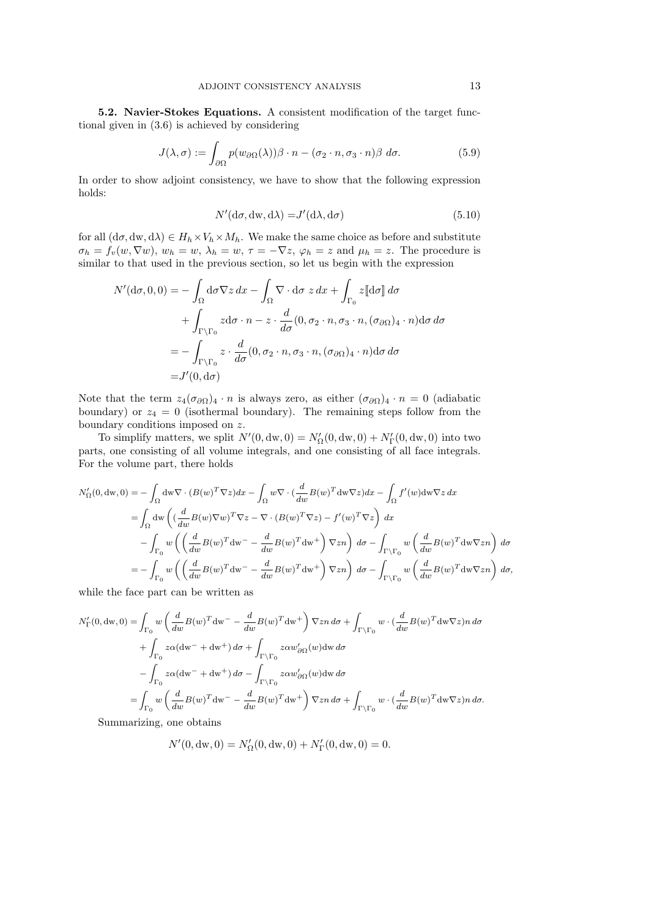5.2. Navier-Stokes Equations. A consistent modification of the target functional given in (3.6) is achieved by considering

$$
J(\lambda, \sigma) := \int_{\partial \Omega} p(w_{\partial \Omega}(\lambda)) \beta \cdot n - (\sigma_2 \cdot n, \sigma_3 \cdot n) \beta \, d\sigma. \tag{5.9}
$$

In order to show adjoint consistency, we have to show that the following expression holds:

$$
N'(\mathrm{d}\sigma, \mathrm{d}\mathrm{w}, \mathrm{d}\lambda) = J'(\mathrm{d}\lambda, \mathrm{d}\sigma) \tag{5.10}
$$

for all  $(d\sigma, dw, d\lambda) \in H_h \times V_h \times M_h$ . We make the same choice as before and substitute  $\sigma_h = f_v(w, \nabla w), w_h = w, \lambda_h = w, \tau = -\nabla z, \varphi_h = z$  and  $\mu_h = z$ . The procedure is similar to that used in the previous section, so let us begin with the expression

$$
N'(\mathrm{d}\sigma, 0, 0) = -\int_{\Omega} \mathrm{d}\sigma \nabla z \, dx - \int_{\Omega} \nabla \cdot \mathrm{d}\sigma \, z \, dx + \int_{\Gamma_0} z[\mathrm{d}\sigma] \, d\sigma
$$

$$
+ \int_{\Gamma \backslash \Gamma_0} z \mathrm{d}\sigma \cdot n - z \cdot \frac{d}{d\sigma} (0, \sigma_2 \cdot n, \sigma_3 \cdot n, (\sigma_{\partial \Omega})_4 \cdot n) \mathrm{d}\sigma \, d\sigma
$$

$$
= -\int_{\Gamma \backslash \Gamma_0} z \cdot \frac{d}{d\sigma} (0, \sigma_2 \cdot n, \sigma_3 \cdot n, (\sigma_{\partial \Omega})_4 \cdot n) \mathrm{d}\sigma \, d\sigma
$$

$$
= J'(0, \mathrm{d}\sigma)
$$

Note that the term  $z_4(\sigma_{\partial\Omega})_4 \cdot n$  is always zero, as either  $(\sigma_{\partial\Omega})_4 \cdot n = 0$  (adiabatic boundary) or  $z_4 = 0$  (isothermal boundary). The remaining steps follow from the boundary conditions imposed on z.

To simplify matters, we split  $N'(0, dw, 0) = N'_{\Omega}(0, dw, 0) + N'_{\Gamma}(0, dw, 0)$  into two parts, one consisting of all volume integrals, and one consisting of all face integrals. For the volume part, there holds

$$
N'_{\Omega}(0, dw, 0) = -\int_{\Omega} dw \nabla \cdot (B(w)^T \nabla z) dx - \int_{\Omega} w \nabla \cdot (\frac{d}{dw} B(w)^T dw \nabla z) dx - \int_{\Omega} f'(w) dw \nabla z dx
$$
  

$$
= \int_{\Omega} dw \left( (\frac{d}{dw} B(w) \nabla w)^T \nabla z - \nabla \cdot (B(w)^T \nabla z) - f'(w)^T \nabla z \right) dx
$$
  

$$
- \int_{\Gamma_0} w \left( \left( \frac{d}{dw} B(w)^T dw^T - \frac{d}{dw} B(w)^T dw^+ \right) \nabla zn \right) d\sigma - \int_{\Gamma \backslash \Gamma_0} w \left( \frac{d}{dw} B(w)^T dw \nabla zn \right) d\sigma
$$
  

$$
= - \int_{\Gamma_0} w \left( \left( \frac{d}{dw} B(w)^T dw^T - \frac{d}{dw} B(w)^T dw^+ \right) \nabla zn \right) d\sigma - \int_{\Gamma \backslash \Gamma_0} w \left( \frac{d}{dw} B(w)^T dw \nabla zn \right) d\sigma,
$$

while the face part can be written as

$$
N'_{\Gamma}(0, dw, 0) = \int_{\Gamma_0} w \left( \frac{d}{dw} B(w)^T dw^- - \frac{d}{dw} B(w)^T dw^+ \right) \nabla z_n d\sigma + \int_{\Gamma \backslash \Gamma_0} w \cdot \left( \frac{d}{dw} B(w)^T dw \nabla z \right) n d\sigma
$$
  
+ 
$$
\int_{\Gamma_0} z\alpha (dw^- + dw^+) d\sigma + \int_{\Gamma \backslash \Gamma_0} z\alpha w'_{\partial\Omega}(w) dw d\sigma
$$
  
- 
$$
\int_{\Gamma_0} z\alpha (dw^- + dw^+) d\sigma - \int_{\Gamma \backslash \Gamma_0} z\alpha w'_{\partial\Omega}(w) dw d\sigma
$$
  
= 
$$
\int_{\Gamma_0} w \left( \frac{d}{dw} B(w)^T dw^- - \frac{d}{dw} B(w)^T dw^+ \right) \nabla z_n d\sigma + \int_{\Gamma \backslash \Gamma_0} w \cdot \left( \frac{d}{dw} B(w)^T dw \nabla z \right) n d\sigma.
$$

Summarizing, one obtains

$$
N'(0, dw, 0) = N'_{\Omega}(0, dw, 0) + N'_{\Gamma}(0, dw, 0) = 0.
$$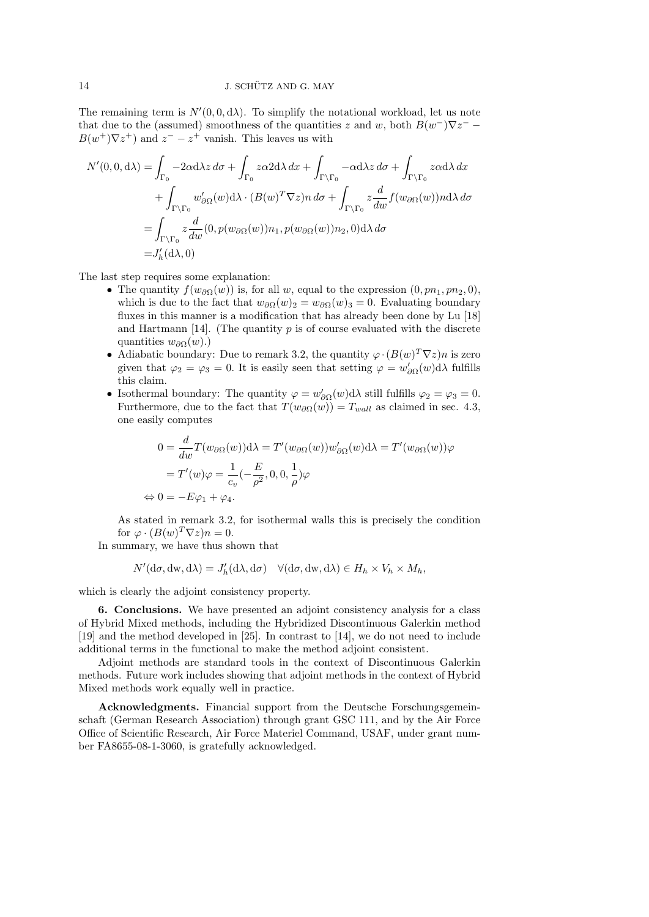The remaining term is  $N'(0, 0, d\lambda)$ . To simplify the notational workload, let us note that due to the (assumed) smoothness of the quantities z and w, both  $B(w^-)\nabla z^ B(w^+) \nabla z^+$  and  $z^- - z^+$  vanish. This leaves us with

$$
N'(0,0,\mathrm{d}\lambda) = \int_{\Gamma_0} -2\alpha \mathrm{d}\lambda z \, d\sigma + \int_{\Gamma_0} z \alpha 2 \mathrm{d}\lambda \, dx + \int_{\Gamma \backslash \Gamma_0} -\alpha \mathrm{d}\lambda z \, d\sigma + \int_{\Gamma \backslash \Gamma_0} z \alpha \mathrm{d}\lambda \, dx
$$

$$
+ \int_{\Gamma \backslash \Gamma_0} w'_{\partial\Omega}(w) \mathrm{d}\lambda \cdot (B(w)^T \nabla z) n \, d\sigma + \int_{\Gamma \backslash \Gamma_0} z \frac{d}{dw} f(w_{\partial\Omega}(w)) n \mathrm{d}\lambda \, d\sigma
$$

$$
= \int_{\Gamma \backslash \Gamma_0} z \frac{d}{dw} (0, p(w_{\partial\Omega}(w)) n_1, p(w_{\partial\Omega}(w)) n_2, 0) \mathrm{d}\lambda \, d\sigma
$$

$$
= J'_h(\mathrm{d}\lambda, 0)
$$

The last step requires some explanation:

- The quantity  $f(w_{\partial\Omega}(w))$  is, for all w, equal to the expression  $(0, pn_1, pn_2, 0)$ , which is due to the fact that  $w_{\partial\Omega}(w)_2 = w_{\partial\Omega}(w)_3 = 0$ . Evaluating boundary fluxes in this manner is a modification that has already been done by Lu [18] and Hartmann [14]. (The quantity  $p$  is of course evaluated with the discrete quantities  $w_{\partial\Omega}(w)$ .)
- Adiabatic boundary: Due to remark 3.2, the quantity  $\varphi \cdot (B(w)^T \nabla z)n$  is zero given that  $\varphi_2 = \varphi_3 = 0$ . It is easily seen that setting  $\varphi = w'_{\partial\Omega}(w) d\lambda$  fulfills this claim.
- Isothermal boundary: The quantity  $\varphi = w'_{\partial \Omega}(w) d\lambda$  still fulfills  $\varphi_2 = \varphi_3 = 0$ . Furthermore, due to the fact that  $T(w_{\partial\Omega}(w)) = T_{wall}$  as claimed in sec. 4.3, one easily computes

$$
0 = \frac{d}{dw} T(w_{\partial\Omega}(w)) d\lambda = T'(w_{\partial\Omega}(w)) w'_{\partial\Omega}(w) d\lambda = T'(w_{\partial\Omega}(w)) \varphi
$$
  
=  $T'(w) \varphi = \frac{1}{c_v} (-\frac{E}{\rho^2}, 0, 0, \frac{1}{\rho}) \varphi$   

$$
\Leftrightarrow 0 = -E\varphi_1 + \varphi_4.
$$

As stated in remark 3.2, for isothermal walls this is precisely the condition for  $\varphi \cdot (B(w)^T \nabla z) n = 0.$ 

In summary, we have thus shown that

$$
N'(\mathrm{d}\sigma, \mathrm{d}\mathrm{w}, \mathrm{d}\lambda) = J'_h(\mathrm{d}\lambda, \mathrm{d}\sigma) \quad \forall (\mathrm{d}\sigma, \mathrm{d}\mathrm{w}, \mathrm{d}\lambda) \in H_h \times V_h \times M_h,
$$

which is clearly the adjoint consistency property.

6. Conclusions. We have presented an adjoint consistency analysis for a class of Hybrid Mixed methods, including the Hybridized Discontinuous Galerkin method [19] and the method developed in [25]. In contrast to [14], we do not need to include additional terms in the functional to make the method adjoint consistent.

Adjoint methods are standard tools in the context of Discontinuous Galerkin methods. Future work includes showing that adjoint methods in the context of Hybrid Mixed methods work equally well in practice.

Acknowledgments. Financial support from the Deutsche Forschungsgemeinschaft (German Research Association) through grant GSC 111, and by the Air Force Office of Scientific Research, Air Force Materiel Command, USAF, under grant number FA8655-08-1-3060, is gratefully acknowledged.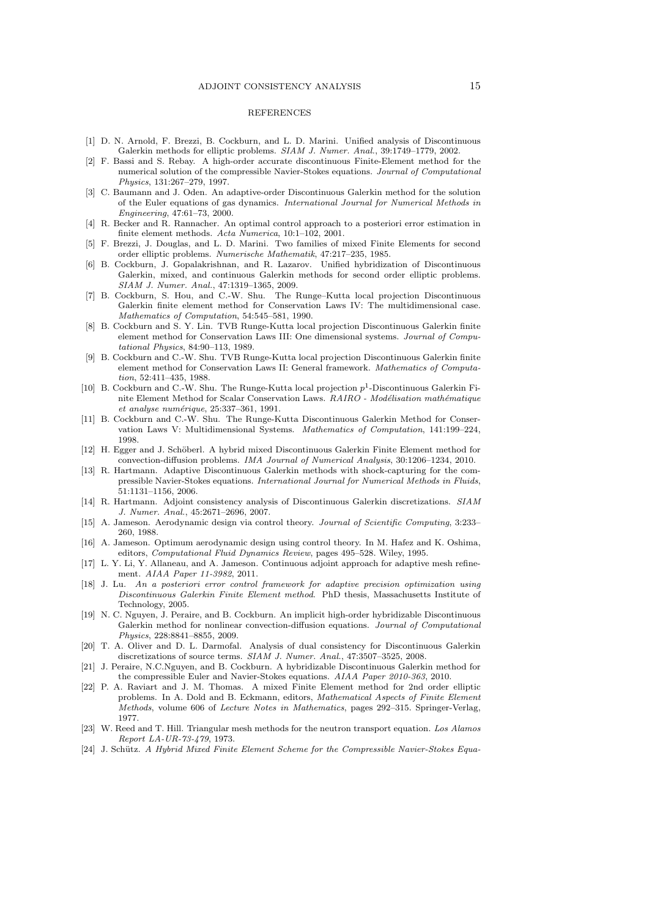#### REFERENCES

- [1] D. N. Arnold, F. Brezzi, B. Cockburn, and L. D. Marini. Unified analysis of Discontinuous Galerkin methods for elliptic problems. SIAM J. Numer. Anal., 39:1749–1779, 2002.
- [2] F. Bassi and S. Rebay. A high-order accurate discontinuous Finite-Element method for the numerical solution of the compressible Navier-Stokes equations. Journal of Computational Physics, 131:267–279, 1997.
- [3] C. Baumann and J. Oden. An adaptive-order Discontinuous Galerkin method for the solution of the Euler equations of gas dynamics. International Journal for Numerical Methods in Engineering, 47:61–73, 2000.
- [4] R. Becker and R. Rannacher. An optimal control approach to a posteriori error estimation in finite element methods. Acta Numerica, 10:1–102, 2001.
- [5] F. Brezzi, J. Douglas, and L. D. Marini. Two families of mixed Finite Elements for second order elliptic problems. Numerische Mathematik, 47:217–235, 1985.
- [6] B. Cockburn, J. Gopalakrishnan, and R. Lazarov. Unified hybridization of Discontinuous Galerkin, mixed, and continuous Galerkin methods for second order elliptic problems. SIAM J. Numer. Anal., 47:1319–1365, 2009.
- [7] B. Cockburn, S. Hou, and C.-W. Shu. The Runge–Kutta local projection Discontinuous Galerkin finite element method for Conservation Laws IV: The multidimensional case. Mathematics of Computation, 54:545–581, 1990.
- [8] B. Cockburn and S. Y. Lin. TVB Runge-Kutta local projection Discontinuous Galerkin finite element method for Conservation Laws III: One dimensional systems. Journal of Computational Physics, 84:90–113, 1989.
- [9] B. Cockburn and C.-W. Shu. TVB Runge-Kutta local projection Discontinuous Galerkin finite element method for Conservation Laws II: General framework. Mathematics of Computation, 52:411–435, 1988.
- [10] B. Cockburn and C.-W. Shu. The Runge-Kutta local projection  $p^1$ -Discontinuous Galerkin Finite Element Method for Scalar Conservation Laws.  $RAIRO$  -  $Modi$ isation mathématique  $et\ analogue, 25:337-361, 1991.$
- [11] B. Cockburn and C.-W. Shu. The Runge-Kutta Discontinuous Galerkin Method for Conservation Laws V: Multidimensional Systems. Mathematics of Computation, 141:199–224, 1998.
- [12] H. Egger and J. Schöberl. A hybrid mixed Discontinuous Galerkin Finite Element method for convection-diffusion problems. IMA Journal of Numerical Analysis, 30:1206–1234, 2010.
- [13] R. Hartmann. Adaptive Discontinuous Galerkin methods with shock-capturing for the compressible Navier-Stokes equations. International Journal for Numerical Methods in Fluids, 51:1131–1156, 2006.
- [14] R. Hartmann. Adjoint consistency analysis of Discontinuous Galerkin discretizations. SIAM J. Numer. Anal., 45:2671–2696, 2007.
- [15] A. Jameson. Aerodynamic design via control theory. Journal of Scientific Computing, 3:233– 260, 1988.
- [16] A. Jameson. Optimum aerodynamic design using control theory. In M. Hafez and K. Oshima, editors, Computational Fluid Dynamics Review, pages 495–528. Wiley, 1995.
- [17] L. Y. Li, Y. Allaneau, and A. Jameson. Continuous adjoint approach for adaptive mesh refinement. AIAA Paper 11-3982, 2011.
- [18] J. Lu. An a posteriori error control framework for adaptive precision optimization using Discontinuous Galerkin Finite Element method. PhD thesis, Massachusetts Institute of Technology, 2005.
- [19] N. C. Nguyen, J. Peraire, and B. Cockburn. An implicit high-order hybridizable Discontinuous Galerkin method for nonlinear convection-diffusion equations. Journal of Computational Physics, 228:8841–8855, 2009.
- [20] T. A. Oliver and D. L. Darmofal. Analysis of dual consistency for Discontinuous Galerkin discretizations of source terms. SIAM J. Numer. Anal., 47:3507–3525, 2008.
- [21] J. Peraire, N.C.Nguyen, and B. Cockburn. A hybridizable Discontinuous Galerkin method for the compressible Euler and Navier-Stokes equations. AIAA Paper 2010-363, 2010.
- [22] P. A. Raviart and J. M. Thomas. A mixed Finite Element method for 2nd order elliptic problems. In A. Dold and B. Eckmann, editors, Mathematical Aspects of Finite Element Methods, volume 606 of Lecture Notes in Mathematics, pages 292–315. Springer-Verlag, 1977.
- [23] W. Reed and T. Hill. Triangular mesh methods for the neutron transport equation. Los Alamos Report LA-UR-73-479, 1973.
- [24] J. Schütz. A Hybrid Mixed Finite Element Scheme for the Compressible Navier-Stokes Equa-